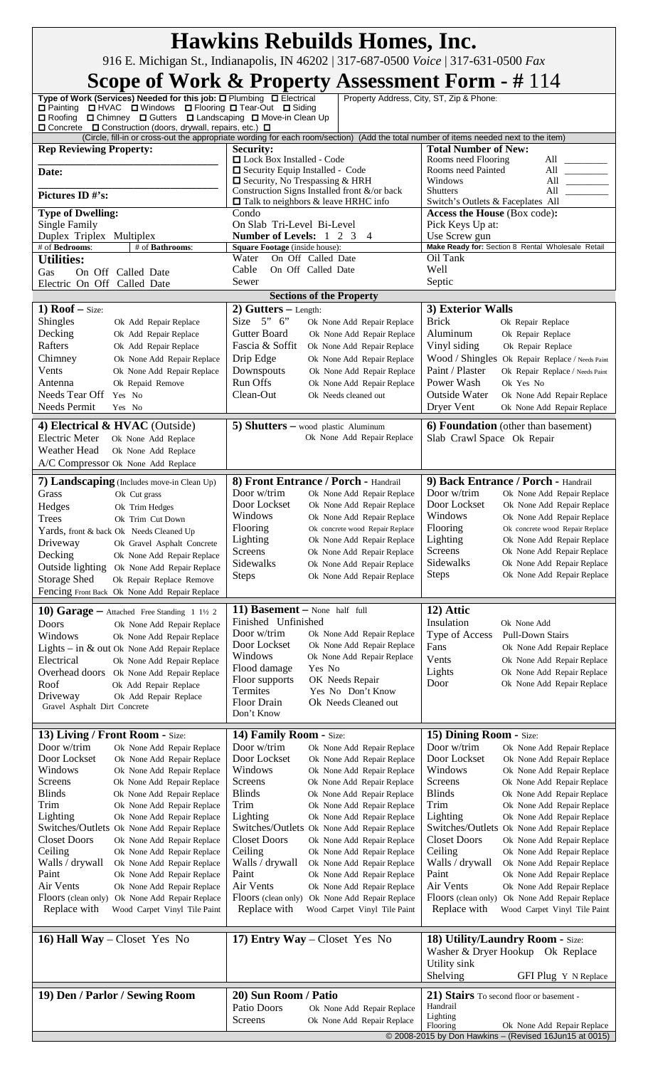| <b>Hawkins Rebuilds Homes, Inc.</b>                                                                                                                                                                  |                                                                                                                                      |                                                                                                |  |  |  |
|------------------------------------------------------------------------------------------------------------------------------------------------------------------------------------------------------|--------------------------------------------------------------------------------------------------------------------------------------|------------------------------------------------------------------------------------------------|--|--|--|
| 916 E. Michigan St., Indianapolis, IN 46202   317-687-0500 Voice   317-631-0500 Fax<br>Scope of Work & Property Assessment Form - #114                                                               |                                                                                                                                      |                                                                                                |  |  |  |
| Type of Work (Services) Needed for this job: O Plumbing O Electrical<br>□ Painting □ HVAC □ Windows □ Flooring □ Tear-Out □ Siding<br>□ Roofing □ Chimney □ Gutters □ Landscaping □ Move-in Clean Up |                                                                                                                                      | Property Address, City, ST, Zip & Phone:                                                       |  |  |  |
| $\Box$ Concrete $\Box$ Construction (doors, drywall, repairs, etc.) $\Box$                                                                                                                           | (Circle, fill-in or cross-out the appropriate wording for each room/section) (Add the total number of items needed next to the item) |                                                                                                |  |  |  |
| <b>Rep Reviewing Property:</b>                                                                                                                                                                       | Security:<br>□ Lock Box Installed - Code                                                                                             | <b>Total Number of New:</b><br>Rooms need Flooring<br>All                                      |  |  |  |
| Date:                                                                                                                                                                                                | Security Equip Installed - Code                                                                                                      | Rooms need Painted<br>All $\qquad$                                                             |  |  |  |
|                                                                                                                                                                                                      | $\Box$ Security, No Trespassing & HRH                                                                                                | Windows<br>All $\qquad$<br>All                                                                 |  |  |  |
| Pictures ID #'s:                                                                                                                                                                                     | Construction Signs Installed front &/or back<br>$\Box$ Talk to neighbors & leave HRHC info                                           | <b>Shutters</b><br>Switch's Outlets & Faceplates All                                           |  |  |  |
| <b>Type of Dwelling:</b>                                                                                                                                                                             | Condo                                                                                                                                | Access the House (Box code):                                                                   |  |  |  |
| <b>Single Family</b><br>Duplex Triplex Multiplex                                                                                                                                                     | On Slab Tri-Level Bi-Level<br><b>Number of Levels:</b> 1 2 3<br>$\overline{4}$                                                       | Pick Keys Up at:<br>Use Screw gun                                                              |  |  |  |
| # of Bedrooms:<br># of Bathrooms:                                                                                                                                                                    | Square Footage (inside house):                                                                                                       | Make Ready for: Section 8 Rental Wholesale Retail                                              |  |  |  |
| <b>Utilities:</b>                                                                                                                                                                                    | Water<br>On Off Called Date                                                                                                          | Oil Tank                                                                                       |  |  |  |
| Gas<br>On Off Called Date                                                                                                                                                                            | Cable<br>On Off Called Date<br>Sewer                                                                                                 | Well<br>Septic                                                                                 |  |  |  |
| Electric On Off Called Date                                                                                                                                                                          | <b>Sections of the Property</b>                                                                                                      |                                                                                                |  |  |  |
| 1) $Root - size:$                                                                                                                                                                                    | 2) Gutters $-$ Length:                                                                                                               | 3) Exterior Walls                                                                              |  |  |  |
| Shingles<br>Ok Add Repair Replace                                                                                                                                                                    | Size $5" 6"$<br>Ok None Add Repair Replace                                                                                           | <b>Brick</b><br>Ok Repair Replace                                                              |  |  |  |
| Decking<br>Ok Add Repair Replace                                                                                                                                                                     | Gutter Board<br>Ok None Add Repair Replace                                                                                           | Aluminum<br>Ok Repair Replace                                                                  |  |  |  |
| Rafters<br>Ok Add Repair Replace<br>Chimney<br>Ok None Add Repair Replace                                                                                                                            | Fascia & Soffit<br>Ok None Add Repair Replace<br>Drip Edge<br>Ok None Add Repair Replace                                             | Vinyl siding<br>Ok Repair Replace<br>Wood / Shingles Ok Repair Replace / Needs Paint           |  |  |  |
| Vents<br>Ok None Add Repair Replace                                                                                                                                                                  | Downspouts<br>Ok None Add Repair Replace                                                                                             | Paint / Plaster<br>Ok Repair Replace / Needs Paint                                             |  |  |  |
| Antenna<br>Ok Repaid Remove                                                                                                                                                                          | Run Offs<br>Ok None Add Repair Replace                                                                                               | Power Wash<br>Ok Yes No                                                                        |  |  |  |
| Needs Tear Off<br>Yes No                                                                                                                                                                             | Clean-Out<br>Ok Needs cleaned out                                                                                                    | Outside Water<br>Ok None Add Repair Replace<br>Dryer Vent                                      |  |  |  |
| Needs Permit<br>Yes No                                                                                                                                                                               |                                                                                                                                      | Ok None Add Repair Replace                                                                     |  |  |  |
| 4) Electrical & HVAC (Outside)<br><b>Electric Meter</b><br>Ok None Add Replace                                                                                                                       | 5) Shutters $-$ wood plastic Aluminum<br>Ok None Add Repair Replace                                                                  | <b>6) Foundation</b> (other than basement)<br>Slab Crawl Space Ok Repair                       |  |  |  |
| Weather Head<br>Ok None Add Replace                                                                                                                                                                  |                                                                                                                                      |                                                                                                |  |  |  |
| A/C Compressor Ok None Add Replace                                                                                                                                                                   |                                                                                                                                      |                                                                                                |  |  |  |
| <b>7) Landscaping</b> (Includes move-in Clean Up)<br>Grass<br>Ok Cut grass                                                                                                                           | 8) Front Entrance / Porch - Handrail<br>Door w/trim<br>Ok None Add Repair Replace                                                    | 9) Back Entrance / Porch - Handrail<br>Door w/trim<br>Ok None Add Repair Replace               |  |  |  |
| Hedges<br>Ok Trim Hedges                                                                                                                                                                             | Door Lockset<br>Ok None Add Repair Replace                                                                                           | Door Lockset<br>Ok None Add Repair Replace                                                     |  |  |  |
| Trees<br>Ok Trim Cut Down                                                                                                                                                                            | Windows<br>Ok None Add Repair Replace                                                                                                | Windows<br>Ok None Add Repair Replace                                                          |  |  |  |
| Yards, front & back Ok Needs Cleaned Up                                                                                                                                                              | Flooring<br>Ok concrete wood Repair Replace<br>Lighting<br>Ok None Add Repair Replace                                                | <b>Flooring</b><br>Ok concrete wood Repair Replace<br>Lighting<br>Ok None Add Repair Replace   |  |  |  |
| Driveway<br>Ok Gravel Asphalt Concrete<br>Decking<br>Ok None Add Repair Replace                                                                                                                      | Screens<br>Ok None Add Repair Replace                                                                                                | <b>Screens</b><br>Ok None Add Repair Replace                                                   |  |  |  |
| Outside lighting<br>Ok None Add Repair Replace                                                                                                                                                       | Sidewalks<br>Ok None Add Repair Replace                                                                                              | Sidewalks<br>Ok None Add Repair Replace                                                        |  |  |  |
| <b>Storage Shed</b><br>Ok Repair Replace Remove                                                                                                                                                      | <b>Steps</b><br>Ok None Add Repair Replace                                                                                           | <b>Steps</b><br>Ok None Add Repair Replace                                                     |  |  |  |
| Fencing Front Back Ok None Add Repair Replace                                                                                                                                                        |                                                                                                                                      |                                                                                                |  |  |  |
| <b>10) Garage</b> - Attached Free Standing $11\frac{1}{2}$                                                                                                                                           | 11) <b>Basement</b> – None half full                                                                                                 | 12) Attic                                                                                      |  |  |  |
| <b>Doors</b><br>Ok None Add Repair Replace                                                                                                                                                           | Finished Unfinished<br>Door w/trim<br>Ok None Add Repair Replace                                                                     | Insulation<br>Ok None Add<br>Type of Access<br><b>Pull-Down Stairs</b>                         |  |  |  |
| Windows<br>Ok None Add Repair Replace<br>Lights - in & out Ok None Add Repair Replace                                                                                                                | Door Lockset<br>Ok None Add Repair Replace                                                                                           | Fans<br>Ok None Add Repair Replace                                                             |  |  |  |
| Electrical<br>Ok None Add Repair Replace                                                                                                                                                             | Windows<br>Ok None Add Repair Replace                                                                                                | Vents<br>Ok None Add Repair Replace                                                            |  |  |  |
| Overhead doors Ok None Add Repair Replace                                                                                                                                                            | Flood damage<br>Yes No<br>Floor supports<br>OK Needs Repair                                                                          | Lights<br>Ok None Add Repair Replace                                                           |  |  |  |
| Roof<br>Ok Add Repair Replace<br>Driveway                                                                                                                                                            | Termites<br>Yes No Don't Know                                                                                                        | Door<br>Ok None Add Repair Replace                                                             |  |  |  |
| Ok Add Repair Replace<br>Gravel Asphalt Dirt Concrete                                                                                                                                                | Floor Drain<br>Ok Needs Cleaned out                                                                                                  |                                                                                                |  |  |  |
|                                                                                                                                                                                                      | Don't Know                                                                                                                           |                                                                                                |  |  |  |
| 13) Living / Front Room - Size:                                                                                                                                                                      | 14) Family Room - Size:                                                                                                              | 15) Dining Room - Size:                                                                        |  |  |  |
| Door w/trim<br>Ok None Add Repair Replace<br>Door Lockset<br>Ok None Add Repair Replace                                                                                                              | Door w/trim<br>Ok None Add Repair Replace<br>Door Lockset<br>Ok None Add Repair Replace                                              | Door w/trim<br>Ok None Add Repair Replace<br>Door Lockset<br>Ok None Add Repair Replace        |  |  |  |
| Windows<br>Ok None Add Repair Replace                                                                                                                                                                | Windows<br>Ok None Add Repair Replace                                                                                                | Windows<br>Ok None Add Repair Replace                                                          |  |  |  |
| Screens<br>Ok None Add Repair Replace                                                                                                                                                                | <b>Screens</b><br>Ok None Add Repair Replace                                                                                         | Screens<br>Ok None Add Repair Replace                                                          |  |  |  |
| <b>Blinds</b><br>Ok None Add Repair Replace                                                                                                                                                          | <b>Blinds</b><br>Ok None Add Repair Replace                                                                                          | <b>Blinds</b><br>Ok None Add Repair Replace                                                    |  |  |  |
| Trim<br>Ok None Add Repair Replace<br>Lighting<br>Ok None Add Repair Replace                                                                                                                         | Trim<br>Ok None Add Repair Replace<br>Lighting<br>Ok None Add Repair Replace                                                         | Trim<br>Ok None Add Repair Replace<br>Lighting<br>Ok None Add Repair Replace                   |  |  |  |
| Switches/Outlets Ok None Add Repair Replace                                                                                                                                                          | Switches/Outlets Ok None Add Repair Replace                                                                                          | Switches/Outlets Ok None Add Repair Replace                                                    |  |  |  |
| <b>Closet Doors</b><br>Ok None Add Repair Replace                                                                                                                                                    | <b>Closet Doors</b><br>Ok None Add Repair Replace                                                                                    | <b>Closet Doors</b><br>Ok None Add Repair Replace                                              |  |  |  |
| Ceiling<br>Ok None Add Repair Replace<br>Walls / drywall<br>Ok None Add Repair Replace                                                                                                               | Ceiling<br>Ok None Add Repair Replace<br>Walls / drywall<br>Ok None Add Repair Replace                                               | Ceiling<br>Ok None Add Repair Replace<br>Walls / drywall<br>Ok None Add Repair Replace         |  |  |  |
| Paint<br>Ok None Add Repair Replace                                                                                                                                                                  | Paint<br>Ok None Add Repair Replace                                                                                                  | Paint<br>Ok None Add Repair Replace                                                            |  |  |  |
| Air Vents<br>Ok None Add Repair Replace                                                                                                                                                              | Air Vents<br>Ok None Add Repair Replace                                                                                              | Air Vents<br>Ok None Add Repair Replace                                                        |  |  |  |
| Floors (clean only) Ok None Add Repair Replace<br>Replace with<br>Wood Carpet Vinyl Tile Paint                                                                                                       | Floors (clean only) Ok None Add Repair Replace<br>Replace with<br>Wood Carpet Vinyl Tile Paint                                       | Floors (clean only) Ok None Add Repair Replace<br>Replace with<br>Wood Carpet Vinyl Tile Paint |  |  |  |
| 16) Hall Way - Closet Yes No                                                                                                                                                                         | 17) Entry Way - Closet Yes No                                                                                                        | 18) Utility/Laundry Room - Size:                                                               |  |  |  |
|                                                                                                                                                                                                      |                                                                                                                                      | Washer & Dryer Hookup Ok Replace                                                               |  |  |  |
|                                                                                                                                                                                                      |                                                                                                                                      | Utility sink                                                                                   |  |  |  |
|                                                                                                                                                                                                      |                                                                                                                                      | Shelving<br>GFI Plug Y N Replace                                                               |  |  |  |
| 19) Den / Parlor / Sewing Room                                                                                                                                                                       | 20) Sun Room / Patio<br>Patio Doors                                                                                                  | 21) Stairs To second floor or basement -<br>Handrail                                           |  |  |  |
|                                                                                                                                                                                                      | Ok None Add Repair Replace<br>Screens<br>Ok None Add Repair Replace                                                                  | Lighting                                                                                       |  |  |  |
| Flooring<br>Ok None Add Repair Replace<br>© 2008-2015 by Don Hawkins - (Revised 16Jun15 at 0015)                                                                                                     |                                                                                                                                      |                                                                                                |  |  |  |